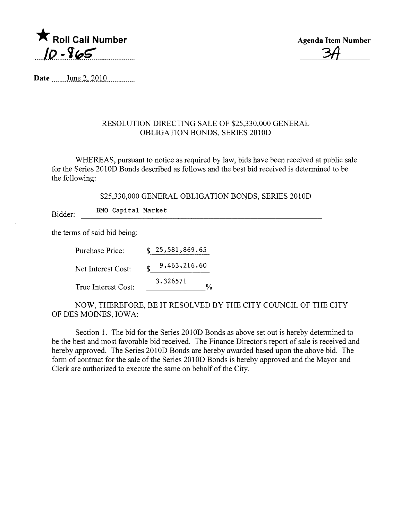

Agenda Item Number  $\frac{3}{4}$ 

Date  $\frac{\text{June } 2, 2010}{\text{June } 2, 2010}$ 

## RESOLUTION DIRECTING SALE OF \$25,330,000 GENERAL OBLIGATION BONDS, SERIES 2010D

WHEREAS, pursuant to notice as required by law, bids have been received at public sale for the Series 2010D Bonds described as follows and the best bid received is determined to be the following:

\$25,330,000 GENERAL OBLIGATION BONDS, SERIES 2010D

Bidder: BMO Capital Market

the terms of said bid being:

| Purchase Price:     | \$25,581,869.65    |                    |
|---------------------|--------------------|--------------------|
| Net Interest Cost:  | \$<br>9,463,216.60 |                    |
| True Interest Cost: | 3.326571           | $\frac{0}{\alpha}$ |
|                     |                    |                    |

NOW, THEREFORE, BE IT RESOLVED BY THE CITY COUNCIL OF THE CITY OF DES MOINES, IOWA:

Section 1. The bid for the Series 2010D Bonds as above set out is hereby determined to be the best and most favorable bid received. The Finance Director's report of sale is received and hereby approved. The Series 2010D Bonds are hereby awarded based upon the above bid. The form of contract for the sale of the Series 2010D Bonds is hereby approved and the Mayor and Clerk are authorized to execute the same on behalf of the City.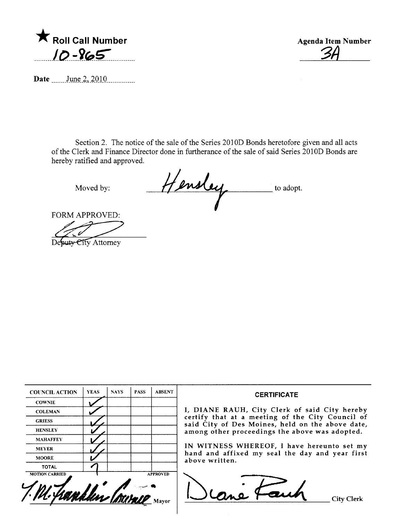

Agenda Item Number <u>3A</u>

Date .......June 2, 2010

Section 2. The notice of the sale of the Series 2010D Bonds heretofore given and all acts of the Clerk and Finance Director done in furtherance of the sale of said Series 2010D Bonds are hereby ratified and approved.

Moved by: Hensley to adopt.

FORM APPROVED:

Desuty City Attorney

| <b>COUNCIL ACTION</b> | <b>YEAS</b> | <b>NAYS</b> | <b>PASS</b> | <b>ABSENT</b>   | <b>CERTIFICATE</b>                                                                                 |
|-----------------------|-------------|-------------|-------------|-----------------|----------------------------------------------------------------------------------------------------|
| <b>COWNIE</b>         |             |             |             |                 |                                                                                                    |
| <b>COLEMAN</b>        |             |             |             |                 | I, DIANE RAUH, City Clerk of said City hereby                                                      |
| <b>GRIESS</b>         |             |             |             |                 | certify that at a meeting of the City Council of                                                   |
| <b>HENSLEY</b>        |             |             |             |                 | said City of Des Moines, held on the above date,<br>among other proceedings the above was adopted. |
| <b>MAHAFFEY</b>       |             |             |             |                 |                                                                                                    |
| <b>MEYER</b>          |             |             |             |                 | IN WITNESS WHEREOF, I have hereunto set my                                                         |
| <b>MOORE</b>          |             |             |             |                 | hand and affixed my seal the day and year first<br>above written.                                  |
| <b>TOTAL</b>          |             |             |             |                 |                                                                                                    |
| <b>MOTION CARRIED</b> |             |             |             | <b>APPROVED</b> |                                                                                                    |
|                       |             |             |             |                 |                                                                                                    |
|                       |             |             |             |                 |                                                                                                    |
| handlin Isan          |             |             |             |                 | City Clerk                                                                                         |
|                       |             |             |             |                 |                                                                                                    |
|                       |             |             |             |                 |                                                                                                    |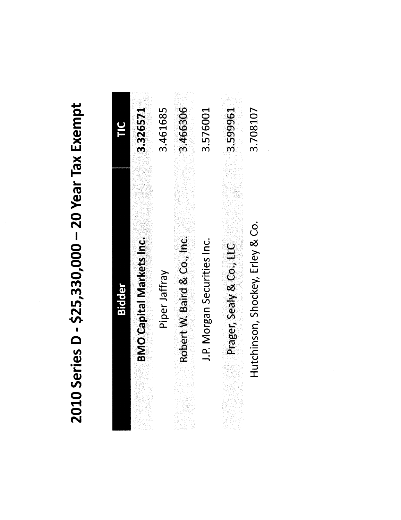2010 Series D - \$25,330,000 - 20 Year Tax Exempt

| $\mathbf{\Xi}$ | 3.326571                        | 3.461685      | 3.466306                    | 3.576001                    | 3.599961                 | 3.708107                         |
|----------------|---------------------------------|---------------|-----------------------------|-----------------------------|--------------------------|----------------------------------|
| <b>Bidder</b>  | <b>BMO Capital Markets Inc.</b> | Piper Jaffray | Robert W. Baird & Co., Inc. | J.P. Morgan Securities Inc. | Prager, Sealy & Co., LLC | Hutchinson, Shockey, Erley & Co. |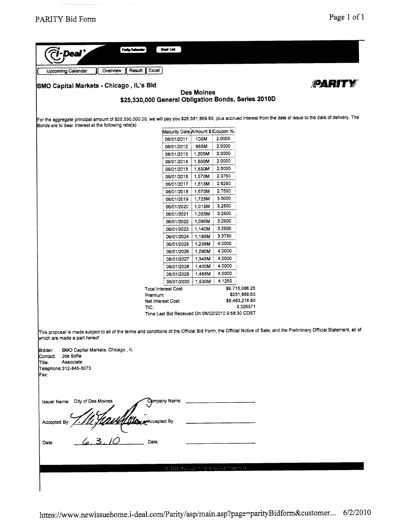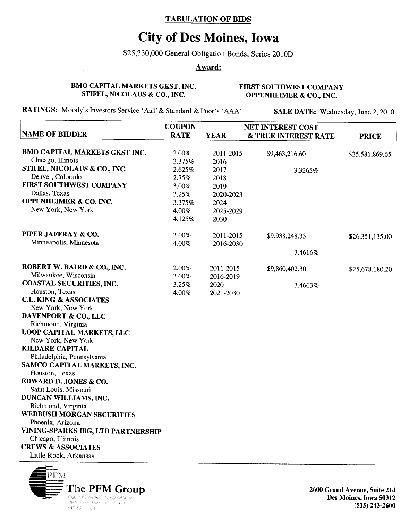## TABULATION OF BIDS

## City of Des Moines, Iowa

\$25,330,000 General Obligation Bonds, Series 2010D

## Award:

BMO CAPITAL MARKETS GKST, INC. STIFEL, NICOLAUS & CO., INC.

FIRST SOUTHWEST COMPANY OPPENHEIMER & CO., INC.

RATINGS: Moody's Investors Service 'Aa1' & Standard & Poor's 'AAA'

SALE DATE: Wednesday, June 2, 2010

|                                           | <b>COUPON</b> | <b>NET INTEREST COST</b> |                                 |                 |  |
|-------------------------------------------|---------------|--------------------------|---------------------------------|-----------------|--|
| <b>NAME OF BIDDER</b>                     | <b>RATE</b>   | <b>YEAR</b>              | <b>&amp; TRUE INTEREST RATE</b> | <b>PRICE</b>    |  |
|                                           |               |                          |                                 |                 |  |
| <b>BMO CAPITAL MARKETS GKST INC.</b>      | 2.00%         | 2011-2015                | \$9,463,216.60                  | \$25,581,869.65 |  |
| Chicago, Illinois                         | 2.375%        | 2016                     |                                 |                 |  |
| STIFEL, NICOLAUS & CO., INC.              | 2.625%        | 2017                     | 3.3265%                         |                 |  |
| Denver, Colorado                          | 2.75%         | 2018                     |                                 |                 |  |
| FIRST SOUTHWEST COMPANY                   | 3.00%         | 2019                     |                                 |                 |  |
| Dallas, Texas                             | 3.25%         | 2020-2023                |                                 |                 |  |
| <b>OPPENHEIMER &amp; CO. INC.</b>         | 3.375%        | 2024                     |                                 |                 |  |
| New York, New York                        | 4.00%         | 2025-2029                |                                 |                 |  |
|                                           | 4.125%        | 2030                     |                                 |                 |  |
| PIPER JAFFRAY & CO.                       | 3.00%         | 2011-2015                | \$9,938,248.33                  | \$26,351,135.00 |  |
| Minneapolis, Minnesota                    | 4.00%         | 2016-2030                |                                 |                 |  |
|                                           |               |                          | 3.4616%                         |                 |  |
| ROBERT W. BAIRD & CO., INC.               | 2.00%         | 2011-2015                | \$9,860,402.30                  | \$25,678,180.20 |  |
| Milwaukee, Wisconsin                      | 3.00%         | 2016-2019                |                                 |                 |  |
| <b>COASTAL SECURITIES, INC.</b>           | 3.25%         | 2020                     | 3.4663%                         |                 |  |
| Houston, Texas                            | 4.00%         | 2021-2030                |                                 |                 |  |
| <b>C.L. KING &amp; ASSOCIATES</b>         |               |                          |                                 |                 |  |
| New York, New York                        |               |                          |                                 |                 |  |
| DAVENPORT & CO., LLC                      |               |                          |                                 |                 |  |
| Richmond, Virginia                        |               |                          |                                 |                 |  |
| <b>LOOP CAPITAL MARKETS, LLC</b>          |               |                          |                                 |                 |  |
| New York, New York                        |               |                          |                                 |                 |  |
| <b>KILDARE CAPITAL</b>                    |               |                          |                                 |                 |  |
| Philadelphia, Pennsylvania                |               |                          |                                 |                 |  |
| SAMCO CAPITAL MARKETS, INC.               |               |                          |                                 |                 |  |
| Houston, Texas                            |               |                          |                                 |                 |  |
| EDWARD D. JONES & CO.                     |               |                          |                                 |                 |  |
| Saint Louis, Missouri                     |               |                          |                                 |                 |  |
| DUNCAN WILLIAMS, INC.                     |               |                          |                                 |                 |  |
| Richmond, Virginia                        |               |                          |                                 |                 |  |
| <b>WEDBUSH MORGAN SECURITIES</b>          |               |                          |                                 |                 |  |
| Phoenix, Arizona                          |               |                          |                                 |                 |  |
| <b>VINING-SPARKS IBG, LTD PARTNERSHIP</b> |               |                          |                                 |                 |  |
| Chicago, Illiinois                        |               |                          |                                 |                 |  |
| <b>CREWS &amp; ASSOCIATES</b>             |               |                          |                                 |                 |  |
| Little Rock, Arkansas                     |               |                          |                                 |                 |  |
|                                           |               |                          |                                 |                 |  |



2600 Grand Avenue, Suite 214 Des Moines, Iowa 50312 (515) 243-2600